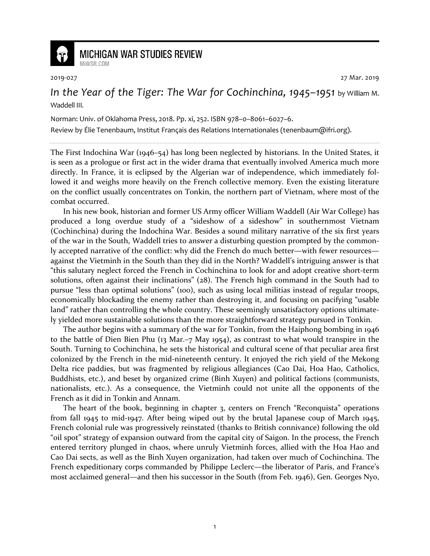

## **MICHIGAN WAR STUDIES REVIEW** MiWSR COM

2019-027 27 Mar. 2019

In the Year of the Tiger: The War for Cochinchina, 1945–1951 by William M. Waddell III.

Norman: Univ. of Oklahoma Press, 2018. Pp. xi, 252. ISBN 978–0–8061–6027–6.

Review by Élie Tenenbaum, Institut Français des Relations Internationales (tenenbaum@ifri.org).

The First Indochina War (1946–54) has long been neglected by historians. In the United States, it is seen as a prologue or first act in the wider drama that eventually involved America much more directly. In France, it is eclipsed by the Algerian war of independence, which immediately followed it and weighs more heavily on the French collective memory. Even the existing literature on the conflict usually concentrates on Tonkin, the northern part of Vietnam, where most of the combat occurred.

In his new book, historian and former US Army officer William Waddell (Air War College) has produced a long overdue study of a "sideshow of a sideshow" in southernmost Vietnam (Cochinchina) during the Indochina War. Besides a sound military narrative of the six first years of the war in the South, Waddell tries to answer a disturbing question prompted by the commonly accepted narrative of the conflict: why did the French do much better—with fewer resources against the Vietminh in the South than they did in the North? Waddell's intriguing answer is that "this salutary neglect forced the French in Cochinchina to look for and adopt creative short-term solutions, often against their inclinations" (28). The French high command in the South had to pursue "less than optimal solutions" (100), such as using local militias instead of regular troops, economically blockading the enemy rather than destroying it, and focusing on pacifying "usable land" rather than controlling the whole country. These seemingly unsatisfactory options ultimately yielded more sustainable solutions than the more straightforward strategy pursued in Tonkin.

The author begins with a summary of the war for Tonkin, from the Haiphong bombing in 1946 to the battle of Dien Bien Phu (13 Mar.–7 May 1954), as contrast to what would transpire in the South. Turning to Cochinchina, he sets the historical and cultural scene of that peculiar area first colonized by the French in the mid-nineteenth century. It enjoyed the rich yield of the Mekong Delta rice paddies, but was fragmented by religious allegiances (Cao Dai, Hoa Hao, Catholics, Buddhists, etc.), and beset by organized crime (Binh Xuyen) and political factions (communists, nationalists, etc.). As a consequence, the Vietminh could not unite all the opponents of the French as it did in Tonkin and Annam.

The heart of the book, beginning in chapter 3, centers on French "Reconquista" operations from fall 1945 to mid-1947. After being wiped out by the brutal Japanese coup of March 1945, French colonial rule was progressively reinstated (thanks to British connivance) following the old "oil spot" strategy of expansion outward from the capital city of Saigon. In the process, the French entered territory plunged in chaos, where unruly Vietminh forces, allied with the Hoa Hao and Cao Dai sects, as well as the Binh Xuyen organization, had taken over much of Cochinchina. The French expeditionary corps commanded by Philippe Leclerc—the liberator of Paris, and France's most acclaimed general—and then his successor in the South (from Feb. 1946), Gen. Georges Nyo,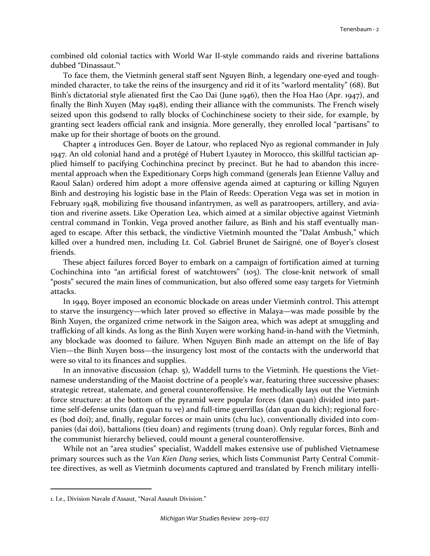combined old colonial tactics with World War II-style commando raids and riverine battalions dubbed "Dinassaut."<sup>1</sup>

To face them, the Vietminh general staff sent Nguyen Binh, a legendary one-eyed and toughminded character, to take the reins of the insurgency and rid it of its "warlord mentality" (68). But Binh's dictatorial style alienated first the Cao Dai (June 1946), then the Hoa Hao (Apr. 1947), and finally the Binh Xuyen (May 1948), ending their alliance with the communists. The French wisely seized upon this godsend to rally blocks of Cochinchinese society to their side, for example, by granting sect leaders official rank and insignia. More generally, they enrolled local "partisans" to make up for their shortage of boots on the ground.

Chapter 4 introduces Gen. Boyer de Latour, who replaced Nyo as regional commander in July 1947. An old colonial hand and a protégé of Hubert Lyautey in Morocco, this skillful tactician applied himself to pacifying Cochinchina precinct by precinct. But he had to abandon this incremental approach when the Expeditionary Corps high command (generals Jean Etienne Valluy and Raoul Salan) ordered him adopt a more offensive agenda aimed at capturing or killing Nguyen Binh and destroying his logistic base in the Plain of Reeds: Operation Vega was set in motion in February 1948, mobilizing five thousand infantrymen, as well as paratroopers, artillery, and aviation and riverine assets. Like Operation Lea, which aimed at a similar objective against Vietminh central command in Tonkin, Vega proved another failure, as Binh and his staff eventually managed to escape. After this setback, the vindictive Vietminh mounted the "Dalat Ambush," which killed over a hundred men, including Lt. Col. Gabriel Brunet de Sairigné, one of Boyer's closest friends.

These abject failures forced Boyer to embark on a campaign of fortification aimed at turning Cochinchina into "an artificial forest of watchtowers" (105). The close-knit network of small "posts" secured the main lines of communication, but also offered some easy targets for Vietminh attacks.

In 1949, Boyer imposed an economic blockade on areas under Vietminh control. This attempt to starve the insurgency—which later proved so effective in Malaya—was made possible by the Binh Xuyen, the organized crime network in the Saigon area, which was adept at smuggling and trafficking of all kinds. As long as the Binh Xuyen were working hand-in-hand with the Vietminh, any blockade was doomed to failure. When Nguyen Binh made an attempt on the life of Bay Vien—the Binh Xuyen boss—the insurgency lost most of the contacts with the underworld that were so vital to its finances and supplies.

In an innovative discussion (chap. 5), Waddell turns to the Vietminh. He questions the Vietnamese understanding of the Maoist doctrine of a people's war, featuring three successive phases: strategic retreat, stalemate, and general counteroffensive. He methodically lays out the Vietminh force structure: at the bottom of the pyramid were popular forces (dan quan) divided into parttime self-defense units (dan quan tu ve) and full-time guerrillas (dan quan du kich); regional forces (bod doi); and, finally, regular forces or main units (chu luc), conventionally divided into companies (dai doi), battalions (tieu doan) and regiments (trung doan). Only regular forces, Binh and the communist hierarchy believed, could mount a general counteroffensive.

While not an "area studies" specialist, Waddell makes extensive use of published Vietnamese primary sources such as the *Van Kien Dang* series, which lists Communist Party Central Committee directives, as well as Vietminh documents captured and translated by French military intelli-

<u>.</u>

<sup>1.</sup> I.e., Division Navale d'Assaut, "Naval Assault Division."